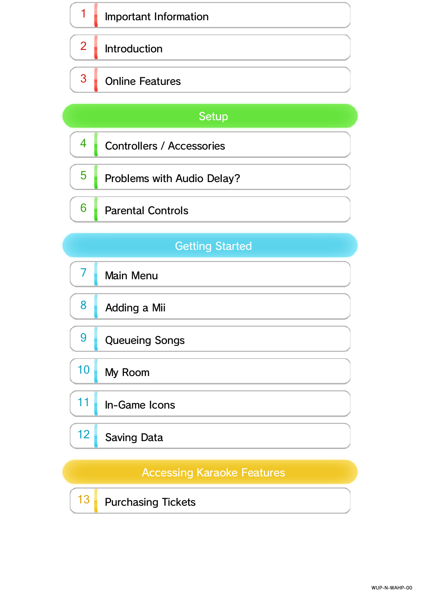# 1 **Important Information**  $2$  Introduction 3 Online Features

### Setup

- 4 Controllers / Accessories
- $\overline{5}$  Problems with Audio Delay?
- $6$  Parental Controls

### **Getting Started**

|  | <b>Main Menu</b> |
|--|------------------|
|  |                  |

- $8$  Adding a Mii
- 9 Queueing Songs

# 10 My Room

### 11 In-Game Icons

# 12 Saving Data

#### **Accessing Karaoke Features**

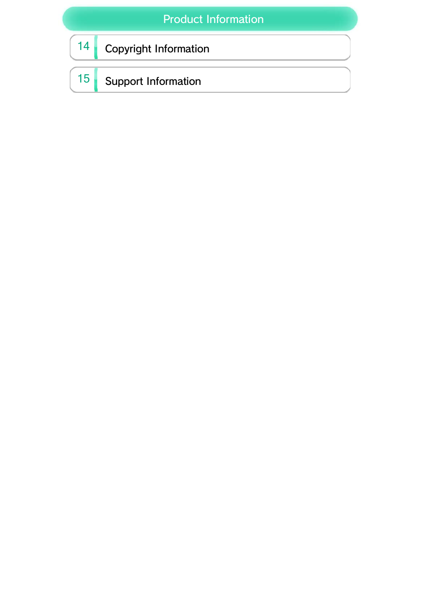### Product Information

# 14 Copyright Information

# 15 Support Information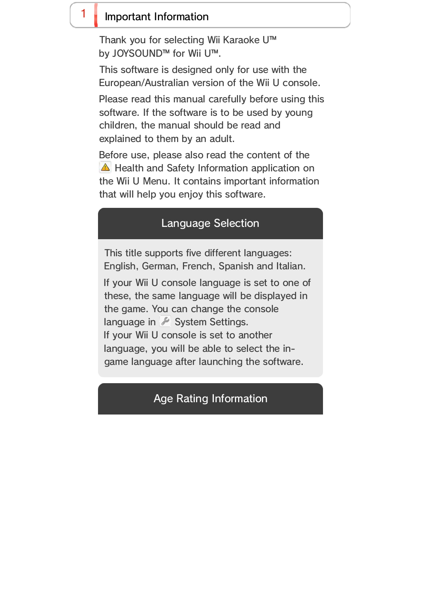Before use, please also read the content of the **A** Health and Safety Information application on the Wii U Menu. It contains important information that will help you enjoy this software.

Please read this manual carefully before using this software. If the software is to be used by young children, the manual should be read and explained to them by an adult.

This software is designed only for use with the European/Australian version of the Wii U console.

### $1$  Important Information

Thank you for selecting Wii Karaoke U™ by JOYSOUND™ for Wii U™.

Age Rating Information

If your Wii U console language is set to one of these, the same language will be displayed in the game. You can change the console language in System Settings. If your Wii U console is set to another language, you will be able to select the ingame language after launching the software.

This title supports five different languages: English, German, French, Spanish and Italian.

#### Language Selection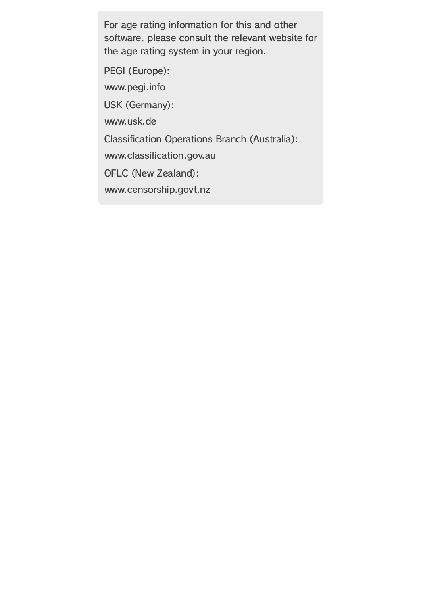www.censorship.govt.nz OFLC (New Zealand): www.classification.gov.au Classification Operations Branch (Australia): www.usk.de USK (Germany): www.pegi.info PEGI (Europe):

For age rating information for this and other software, please consult the relevant website for the age rating system in your region.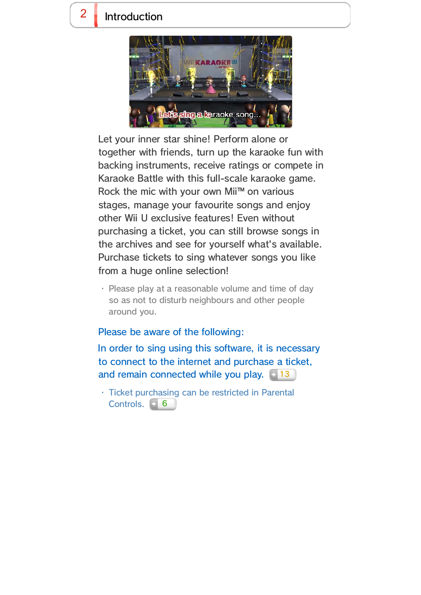In order to sing using this software, it is necessary to connect to the internet and purchase a ticket, and remain connected while you play. **13** 

#### Please be aware of the following:

・ Ticket purchasing can be restricted in Parental Controls. 6

### $2 \cdot$  Introduction



Let your inner star shine! Perform alone or together with friends, turn up the karaoke fun with backing instruments, receive ratings or compete in Karaoke Battle with this full-scale karaoke game. Rock the mic with your own Mii™ on various stages, manage your favourite songs and enjoy other Wii U exclusive features! Even without purchasing a ticket, you can still browse songs in the archives and see for yourself what's available. Purchase tickets to sing whatever songs you like from a huge online selection!

・ Please play at a reasonable volume and time of day so as not to disturb neighbours and other people around you.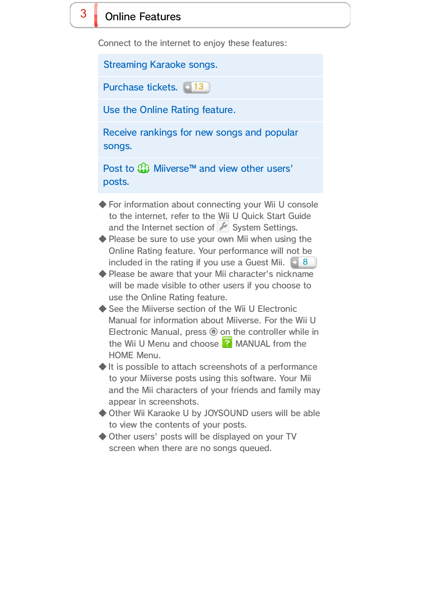- ◆ For information about connecting your Wii U console to the internet, refer to the Wii U Quick Start Guide and the Internet section of  $\blacktriangleright$  System Settings.
- ◆ Please be sure to use your own Mii when using the Online Rating feature. Your performance will not be included in the rating if you use a Guest Mii. **1948**
- ◆ Please be aware that your Mii character's nickname will be made visible to other users if you choose to use the Online Rating feature.
- ◆ See the Miiverse section of the Wii U Electronic Manual for information about Miiverse. For the Wii U Electronic Manual, press  $\oplus$  on the controller while in the Wii U Menu and choose  $\blacksquare$  MANUAL from the HOME Menu.
- ◆ It is possible to attach screenshots of a performance to your Miiverse posts using this software. Your Mii and the Mii characters of your friends and family may appear in screenshots.
- ◆ Other Wii Karaoke U by JOYSOUND users will be able to view the contents of your posts.
- ◆ Other users' posts will be displayed on your TV screen when there are no songs queued.

Post to **Mi** Miiverse™ and view other users' posts.

Use the Online Rating feature.

Receive rankings for new songs and popular songs.

### $3$  Online Features

Connect to the internet to enjoy these features:

Streaming Karaoke songs.

Purchase tickets. **13**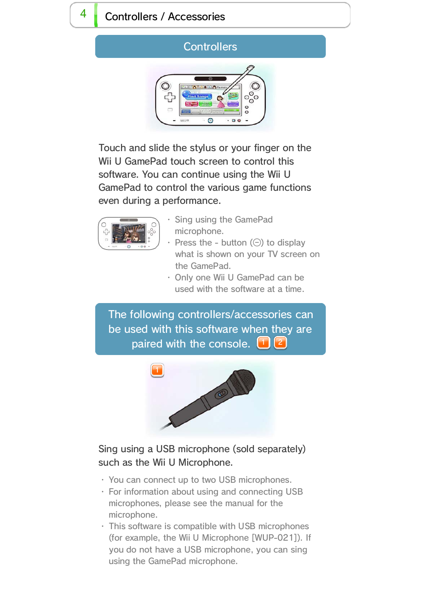# $4$  Controllers / Accessories

#### **Controllers**



- ・ You can connect up to two USB microphones.
- ・ For information about using and connecting USB microphones, please see the manual for the microphone.
- ・ This software is compatible with USB microphones (for example, the Wii U Microphone [WUP-021]). If you do not have a USB microphone, you can sing using the GamePad microphone.

The following controllers/accessories can be used with this software when they are paired with the console.  $\Box$   $\Box$ 

Sing using a USB microphone (sold separately)

# such as the Wii U Microphone.

- ・ Sing using the GamePad microphone.
- Press the button  $(\ominus)$  to display what is shown on your TV screen on the GamePad.
- ・ Only one Wii U GamePad can be used with the software at a time.

Touch and slide the stylus or your finger on the Wii U GamePad touch screen to control this software. You can continue using the Wii U GamePad to control the various game functions even during a performance.



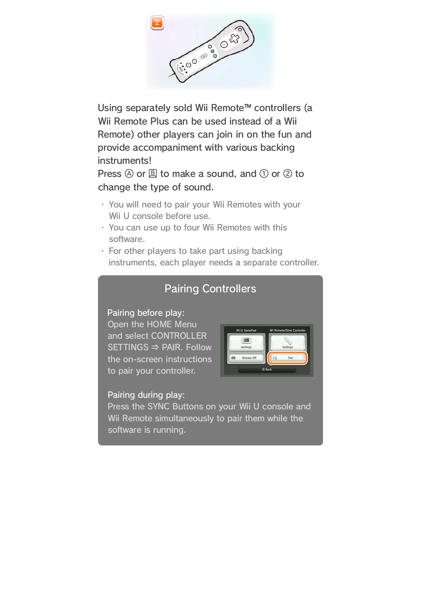- ・ You will need to pair your Wii Remotes with your Wii U console before use.
- ・ You can use up to four Wii Remotes with this software.
- ・ For other players to take part using backing instruments, each player needs a separate controller.

Press  $\circledA$  or  $\circledB$  to make a sound, and  $\circledD$  or  $\circledD$  to change the type of sound.

Using separately sold Wii Remote™ controllers (a Wii Remote Plus can be used instead of a Wii Remote) other players can join in on the fun and provide accompaniment with various backing instruments!

#### Pairing during play:

Press the SYNC Buttons on your Wii U console and Wii Remote simultaneously to pair them while the software is running.

#### Pairing before play:

Open the HOME Menu and select CONTROLLER  $SETTINGS \Rightarrow PAIR.$  Follow the on-screen instructions to pair your controller.



### Pairing Controllers

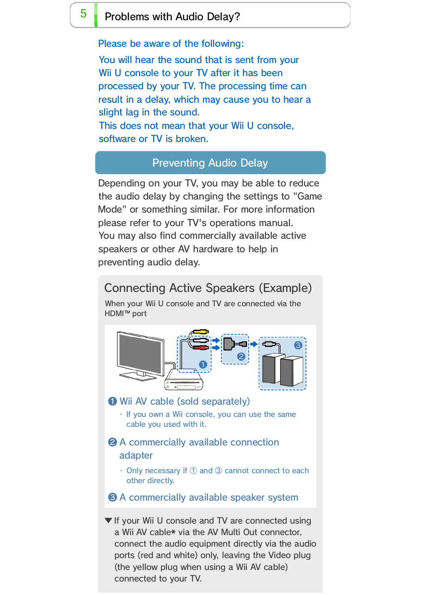You will hear the sound that is sent from your Wii U console to your TV after it has been processed by your TV. The processing time can result in a delay, which may cause you to hear a slight lag in the sound. This does not mean that your Wii U console,

software or TV is broken.

### $\overline{5}$  Problems with Audio Delay?

Please be aware of the following:

Depending on your TV, you may be able to reduce the audio delay by changing the settings to "Game Mode" or something similar. For more information please refer to your TV's operations manual. You may also find commercially available active speakers or other AV hardware to help in preventing audio delay.

#### Preventing Audio Delay

▼ If your Wii U console and TV are connected using a Wii AV cable\* via the AV Multi Out connector, connect the audio equipment directly via the audio ports (red and white) only, leaving the Video plug (the yellow plug when using a Wii AV cable) connected to your TV.



#### adapter

・ Only necessary if ① and ③ cannot connect to each other directly.

❸ A commercially available speaker system

When your Wii U console and TV are connected via the HDMI™ port

### Connecting Active Speakers (Example)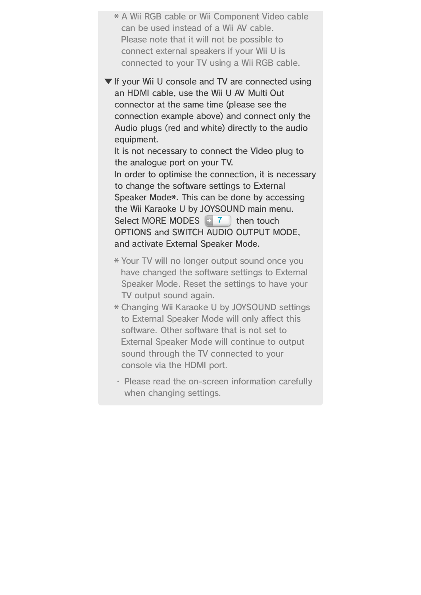- \* A Wii RGB cable or Wii Component Video cable can be used instead of a Wii AV cable. Please note that it will not be possible to connect external speakers if your Wii U is connected to your TV using a Wii RGB cable.
- ▼ If your Wii U console and TV are connected using an HDMI cable, use the Wii U AV Multi Out connector at the same time (please see the connection example above) and connect only the Audio plugs (red and white) directly to the audio equipment.

It is not necessary to connect the Video plug to the analogue port on your TV.

In order to optimise the connection, it is necessary to change the software settings to External Speaker Mode\*. This can be done by accessing the Wii Karaoke U by JOYSOUND main menu. Select MORE MODES  $\rightarrow$  7 then touch OPTIONS and SWITCH AUDIO OUTPUT MODE, and activate External Speaker Mode.

- \* Your TV will no longer output sound once you have changed the software settings to External Speaker Mode. Reset the settings to have your TV output sound again.
- \* Changing Wii Karaoke U by JOYSOUND settings to External Speaker Mode will only affect this software. Other software that is not set to External Speaker Mode will continue to output sound through the TV connected to your console via the HDMI port.
- ・ Please read the on-screen information carefully when changing settings.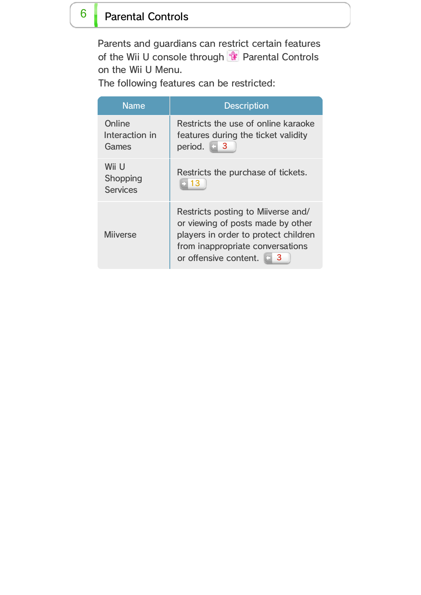### $6$  Parental Controls

Parents and guardians can restrict certain features of the Wii U console through  $\frac{4}{11}$  Parental Controls on the Wii U Menu.

The following features can be restricted:

| <b>Name</b>                                 | <b>Description</b>                                                                                                                                                                  |
|---------------------------------------------|-------------------------------------------------------------------------------------------------------------------------------------------------------------------------------------|
| Online<br>Interaction in<br>Games           | Restricts the use of online karaoke<br>features during the ticket validity<br>$\Box$ 3<br>period.                                                                                   |
| Wii U<br><b>Shopping</b><br><b>Services</b> | Restricts the purchase of tickets.<br>13                                                                                                                                            |
| <b>Miiverse</b>                             | Restricts posting to Milverse and/<br>or viewing of posts made by other<br>players in order to protect children<br>from inappropriate conversations<br>or offensive content.<br>- 3 |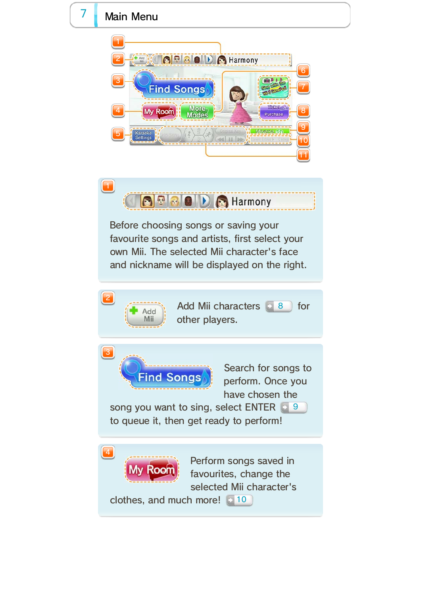Perform songs saved in favourites, change the

selected Mii character's

song you want to sing, select ENTER **19** to queue it, then get ready to perform!

Search for songs to perform. Once you have chosen the

Add Mii characters  $\equiv$  8 for other players.

clothes, and much more! 10



own Mii. The selected Mii character's face and nickname will be displayed on the right.











### $7$  Main Menu

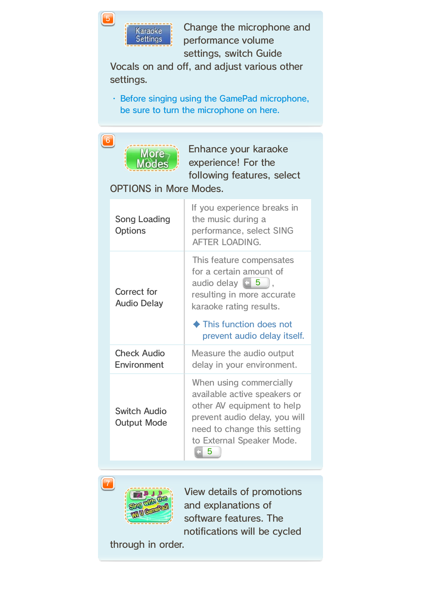View details of promotions and explanations of software features. The notifications will be cycled

through in order.

| Song Loading<br><b>Options</b>            | If you experience breaks in<br>the music during a<br>performance, select SING<br><b>AFTER LOADING.</b>                                                                             |
|-------------------------------------------|------------------------------------------------------------------------------------------------------------------------------------------------------------------------------------|
| Correct for<br><b>Audio Delay</b>         | This feature compensates<br>for a certain amount of<br>audio delay $\boxed{5}$ ,<br>resulting in more accurate<br>karaoke rating results.                                          |
|                                           | ◆ This function does not<br>prevent audio delay itself.                                                                                                                            |
| <b>Check Audio</b><br><b>Environment</b>  | Measure the audio output<br>delay in your environment.                                                                                                                             |
| <b>Switch Audio</b><br><b>Output Mode</b> | When using commercially<br>available active speakers or<br>other AV equipment to help<br>prevent audio delay, you will<br>need to change this setting<br>to External Speaker Mode. |

Enhance your karaoke experience! For the following features, select

OPTIONS in More Modes.

・ Before singing using the GamePad microphone, be sure to turn the microphone on here.

Change the microphone and performance volume settings, switch Guide

Vocals on and off, and adjust various other settings.

![](_page_12_Picture_9.jpeg)

![](_page_12_Picture_8.jpeg)

![](_page_12_Picture_4.jpeg)

![](_page_12_Picture_0.jpeg)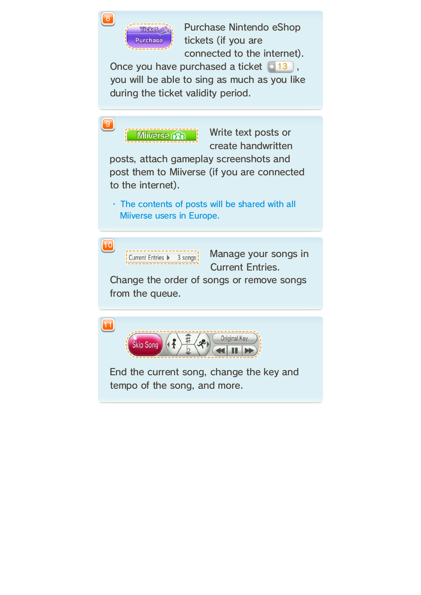Once you have purchased a ticket  $\blacksquare$  13, you will be able to sing as much as you like during the ticket validity period.

![](_page_13_Figure_3.jpeg)

Purchase Nintendo eShop tickets (if you are connected to the internet).

![](_page_13_Picture_0.jpeg)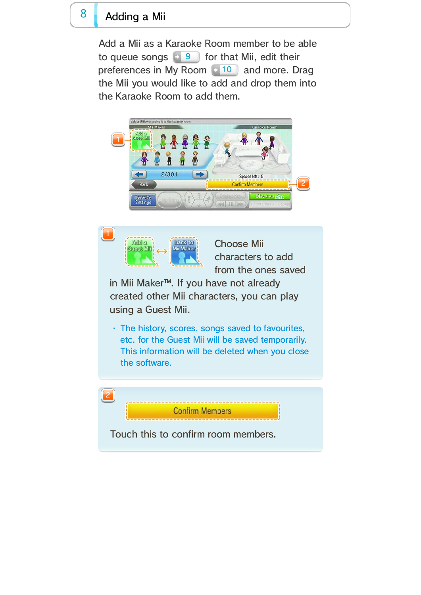・ The history, scores, songs saved to favourites, etc. for the Guest Mii will be saved temporarily. This information will be deleted when you close the software.

Choose Mii characters to add from the ones saved

![](_page_14_Figure_7.jpeg)

in Mii Maker™. If you have not already created other Mii characters, you can play using a Guest Mii.

### 8 Adding a Mii

Add a Mii as a Karaoke Room member to be able to queue songs  $\begin{bmatrix} 9 & 9 \end{bmatrix}$  for that Mii, edit their preferences in My Room  $\Box$  10 and more. Drag the Mii you would like to add and drop them into the Karaoke Room to add them.

![](_page_14_Picture_3.jpeg)

![](_page_14_Picture_2.jpeg)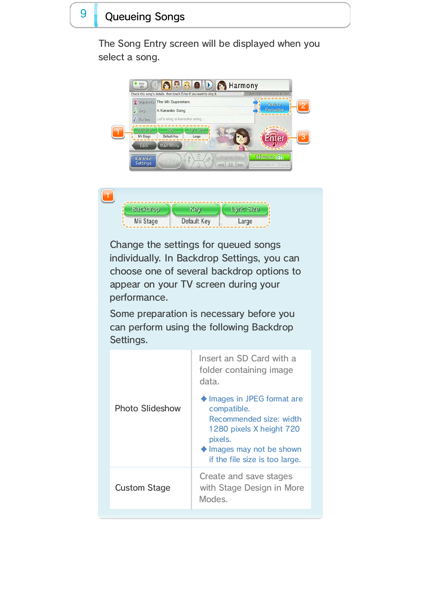| Create and save stages<br>with Stage Design in More<br><b>Custom Stage</b><br>Modes. | $\blacklozenge$ lmages may not be shown<br>if the file size is too large. |
|--------------------------------------------------------------------------------------|---------------------------------------------------------------------------|
|                                                                                      |                                                                           |

|                        | Insert an SD Card with a<br>folder containing image<br>data.                                                 |
|------------------------|--------------------------------------------------------------------------------------------------------------|
| <b>Photo Slideshow</b> | ◆ Images in JPEG format are<br>compatible.<br>Recommended size: width<br>1280 pixels X height 720<br>pixels. |

Some preparation is necessary before you can perform using the following Backdrop Settings.

Change the settings for queued songs individually. In Backdrop Settings, you can choose one of several backdrop options to appear on your TV screen during your performance.

### 9 Queueing Songs

The Song Entry screen will be displayed when you select a song.

![](_page_15_Figure_3.jpeg)

![](_page_15_Picture_2.jpeg)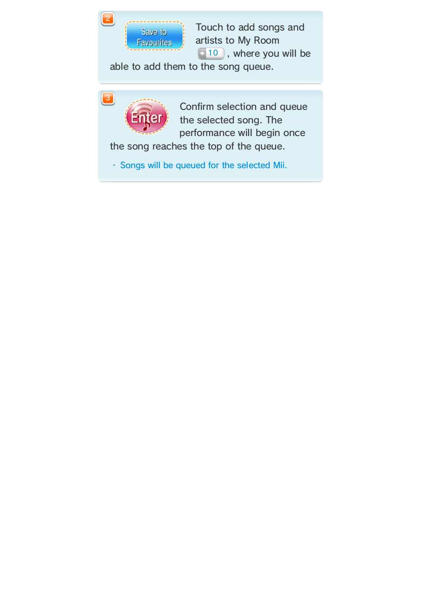・ Songs will be queued for the selected Mii.

Touch to add songs and artists to My Room 10 , where you will be

Confirm selection and queue the selected song. The performance will begin once

the song reaches the top of the queue.

able to add them to the song queue.

![](_page_16_Picture_3.jpeg)

![](_page_16_Picture_0.jpeg)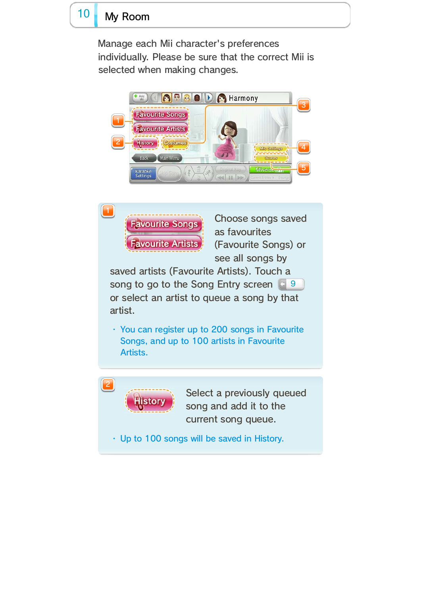### 10 My Room

・ Up to 100 songs will be saved in History.

![](_page_17_Picture_10.jpeg)

Select a previously queued song and add it to the current song queue.

・ You can register up to 200 songs in Favourite Songs, and up to 100 artists in Favourite Artists.

Choose songs saved as favourites (Favourite Songs) or see all songs by

saved artists (Favourite Artists). Touch a song to go to the Song Entry screen **19** or select an artist to queue a song by that artist.

Manage each Mii character's preferences individually. Please be sure that the correct Mii is selected when making changes.

![](_page_17_Picture_7.jpeg)

![](_page_17_Picture_3.jpeg)

![](_page_17_Picture_2.jpeg)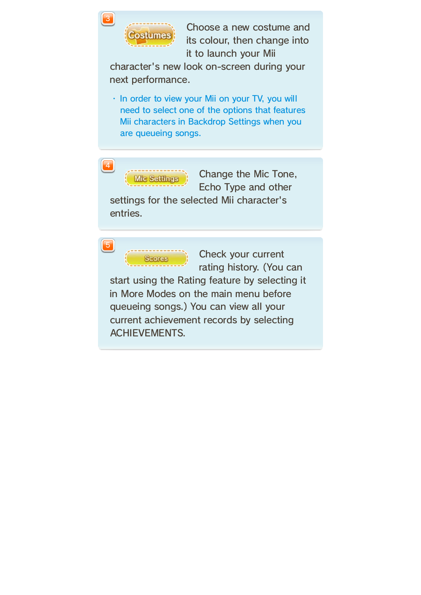Check your current rating history. (You can

start using the Rating feature by selecting it in More Modes on the main menu before queueing songs.) You can view all your current achievement records by selecting ACHIEVEMENTS.

Change the Mic Tone, Echo Type and other settings for the selected Mii character's

entries.

![](_page_18_Picture_0.jpeg)

Choose a new costume and its colour, then change into it to launch your Mii

character's new look on-screen during your next performance.

・ In order to view your Mii on your TV, you will need to select one of the options that features Mii characters in Backdrop Settings when you are queueing songs.

**Vic Setting** 

**Scores** 

5

4

3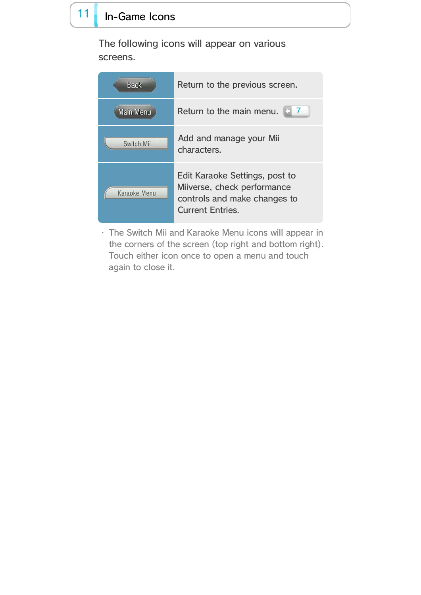・ The Switch Mii and Karaoke Menu icons will appear in the corners of the screen (top right and bottom right). Touch either icon once to open a menu and touch again to close it.

| <b>Back</b>  | Return to the previous screen.                                                                                           |
|--------------|--------------------------------------------------------------------------------------------------------------------------|
| Main Menu    | Return to the main menu.                                                                                                 |
| Switch Mii   | Add and manage your Mii<br>characters.                                                                                   |
| Karaoke Menu | Edit Karaoke Settings, post to<br>Miiverse, check performance<br>controls and make changes to<br><b>Current Entries.</b> |

## 11 In-Game Icons

The following icons will appear on various screens.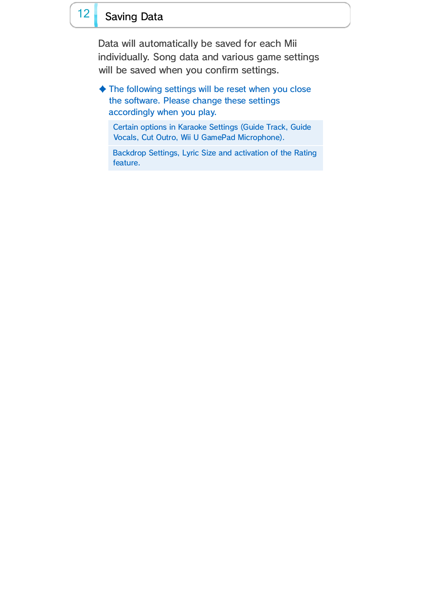Backdrop Settings, Lyric Size and activation of the Rating feature.

Certain options in Karaoke Settings (Guide Track, Guide Vocals, Cut Outro, Wii U GamePad Microphone).

♦ The following settings will be reset when you close the software. Please change these settings accordingly when you play.

### 12 Saving Data

Data will automatically be saved for each Mii individually. Song data and various game settings will be saved when you confirm settings.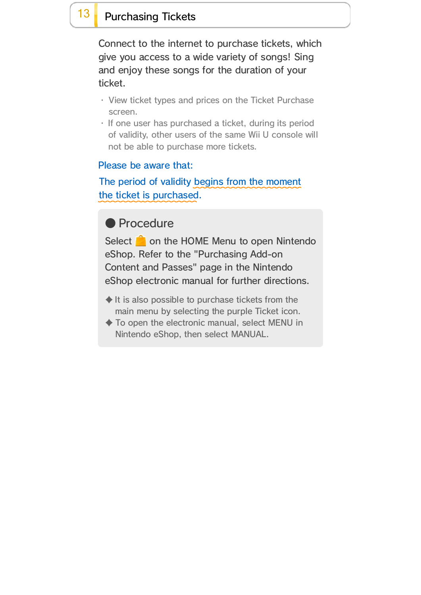Select on the HOME Menu to open Nintendo eShop. Refer to the "Purchasing Add-on Content and Passes" page in the Nintendo eShop electronic manual for further directions.

- $\blacklozenge$  It is also possible to purchase tickets from the main menu by selecting the purple Ticket icon.
- ♦ To open the electronic manual, select MENU in Nintendo eShop, then select MANUAL.

### 13 Purchasing Tickets

Connect to the internet to purchase tickets, which give you access to a wide variety of songs! Sing and enjoy these songs for the duration of your ticket.

- ・ View ticket types and prices on the Ticket Purchase screen.
- ・ If one user has purchased a ticket, during its period of validity, other users of the same Wii U console will not be able to purchase more tickets.

The period of validity begins from the moment the ticket is purchased.

### ● Procedure

#### Please be aware that: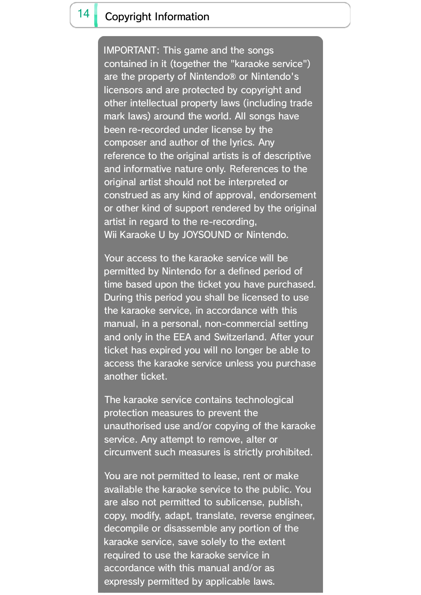The karaoke service contains technological protection measures to prevent the unauthorised use and/or copying of the karaoke service. Any attempt to remove, alter or

You are not permitted to lease, rent or make available the karaoke service to the public. You are also not permitted to sublicense, publish, copy, modify, adapt, translate, reverse engineer, decompile or disassemble any portion of the karaoke service, save solely to the extent required to use the karaoke service in accordance with this manual and/or as expressly permitted by applicable laws.

circumvent such measures is strictly prohibited.

Your access to the karaoke service will be permitted by Nintendo for a defined period of time based upon the ticket you have purchased. During this period you shall be licensed to use the karaoke service, in accordance with this manual, in a personal, non-commercial setting and only in the EEA and Switzerland. After your ticket has expired you will no longer be able to access the karaoke service unless you purchase another ticket.

### 14 Copyright Information

IMPORTANT: This game and the songs contained in it (together the "karaoke service") are the property of Nintendo® or Nintendo's licensors and are protected by copyright and other intellectual property laws (including trade mark laws) around the world. All songs have been re-recorded under license by the composer and author of the lyrics. Any reference to the original artists is of descriptive and informative nature only. References to the original artist should not be interpreted or construed as any kind of approval, endorsement or other kind of support rendered by the original artist in regard to the re-recording, Wii Karaoke U by JOYSOUND or Nintendo.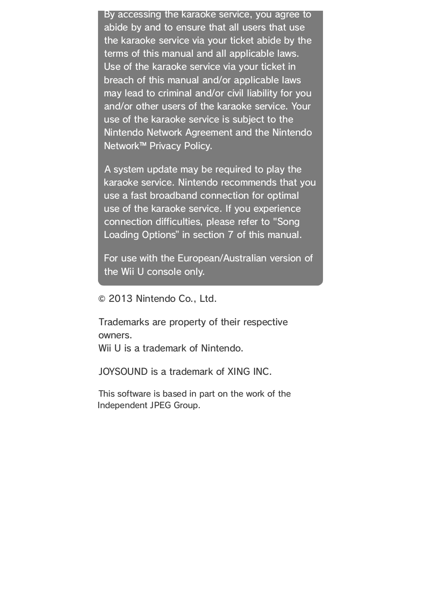© 2013 Nintendo Co., Ltd.

Trademarks are property of their respective owners. Wii U is a trademark of Nintendo.

JOYSOUND is a trademark of XING INC.

By accessing the karaoke service, you agree to abide by and to ensure that all users that use the karaoke service via your ticket abide by the terms of this manual and all applicable laws. Use of the karaoke service via your ticket in breach of this manual and/or applicable laws may lead to criminal and/or civil liability for you and/or other users of the karaoke service. Your use of the karaoke service is subject to the Nintendo Network Agreement and the Nintendo Network™ Privacy Policy.

For use with the European/Australian version of the Wii U console only.

A system update may be required to play the karaoke service. Nintendo recommends that you use a fast broadband connection for optimal use of the karaoke service. If you experience connection difficulties, please refer to "Song Loading Options" in section 7 of this manual.

This software is based in part on the work of the Independent JPEG Group.